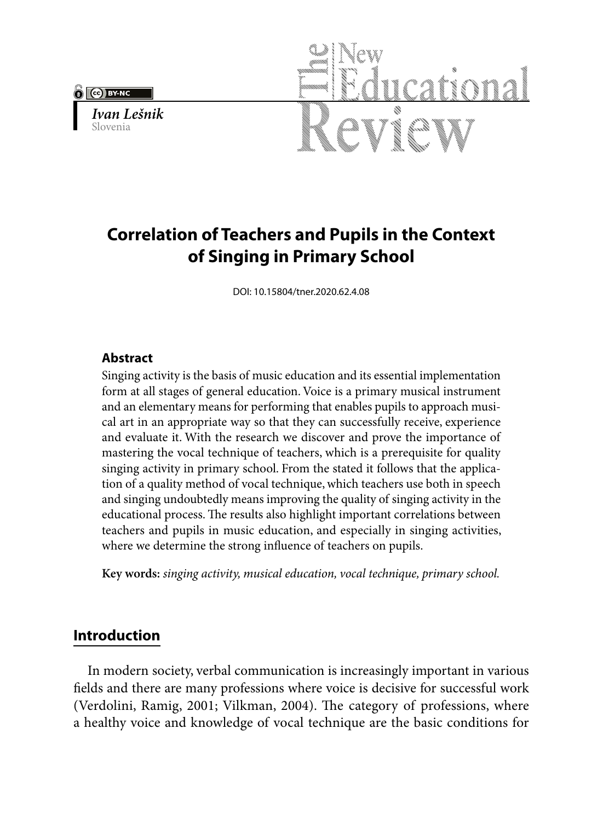

*Ivan Lešnik* Slovenia



# **Correlation of Teachers and Pupils in the Context of Singing in Primary School**

DOI: 10.15804/tner.2020.62.4.08

## **Abstract**

Singing activity is the basis of music education and its essential implementation form at all stages of general education. Voice is a primary musical instrument and an elementary means for performing that enables pupils to approach musical art in an appropriate way so that they can successfully receive, experience and evaluate it. With the research we discover and prove the importance of mastering the vocal technique of teachers, which is a prerequisite for quality singing activity in primary school. From the stated it follows that the application of a quality method of vocal technique, which teachers use both in speech and singing undoubtedly means improving the quality of singing activity in the educational process. The results also highlight important correlations between teachers and pupils in music education, and especially in singing activities, where we determine the strong influence of teachers on pupils.

**Key words:** *singing activity, musical education, vocal technique, primary school.* 

# **Introduction**

In modern society, verbal communication is increasingly important in various fields and there are many professions where voice is decisive for successful work (Verdolini, Ramig, 2001; Vilkman, 2004). The category of professions, where a healthy voice and knowledge of vocal technique are the basic conditions for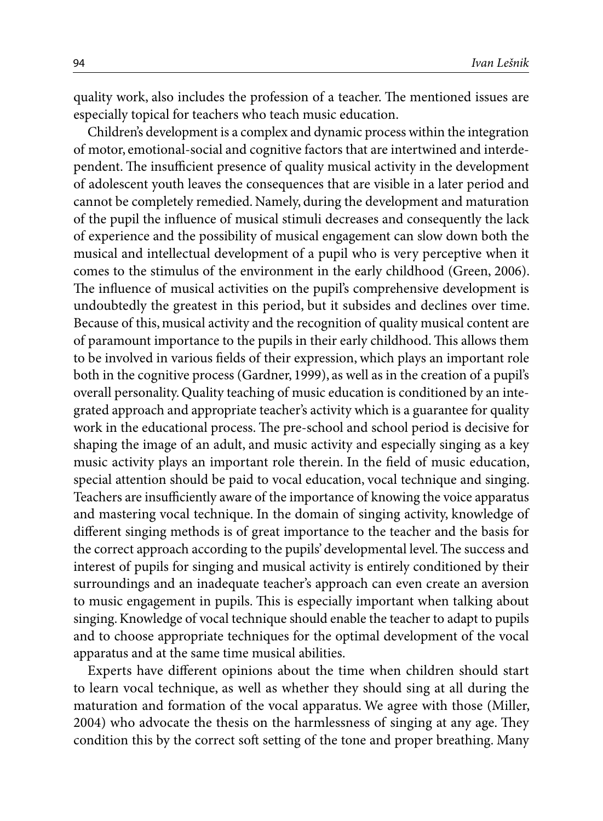quality work, also includes the profession of a teacher. The mentioned issues are especially topical for teachers who teach music education.

Children's development is a complex and dynamic process within the integration of motor, emotional-social and cognitive factors that are intertwined and interdependent. The insufficient presence of quality musical activity in the development of adolescent youth leaves the consequences that are visible in a later period and cannot be completely remedied. Namely, during the development and maturation of the pupil the influence of musical stimuli decreases and consequently the lack of experience and the possibility of musical engagement can slow down both the musical and intellectual development of a pupil who is very perceptive when it comes to the stimulus of the environment in the early childhood (Green, 2006). The influence of musical activities on the pupil's comprehensive development is undoubtedly the greatest in this period, but it subsides and declines over time. Because of this, musical activity and the recognition of quality musical content are of paramount importance to the pupils in their early childhood. This allows them to be involved in various fields of their expression, which plays an important role both in the cognitive process (Gardner, 1999), as well as in the creation of a pupil's overall personality. Quality teaching of music education is conditioned by an integrated approach and appropriate teacher's activity which is a guarantee for quality work in the educational process. The pre-school and school period is decisive for shaping the image of an adult, and music activity and especially singing as a key music activity plays an important role therein. In the field of music education, special attention should be paid to vocal education, vocal technique and singing. Teachers are insufficiently aware of the importance of knowing the voice apparatus and mastering vocal technique. In the domain of singing activity, knowledge of different singing methods is of great importance to the teacher and the basis for the correct approach according to the pupils' developmental level. The success and interest of pupils for singing and musical activity is entirely conditioned by their surroundings and an inadequate teacher's approach can even create an aversion to music engagement in pupils. This is especially important when talking about singing. Knowledge of vocal technique should enable the teacher to adapt to pupils and to choose appropriate techniques for the optimal development of the vocal apparatus and at the same time musical abilities.

Experts have different opinions about the time when children should start to learn vocal technique, as well as whether they should sing at all during the maturation and formation of the vocal apparatus. We agree with those (Miller, 2004) who advocate the thesis on the harmlessness of singing at any age. They condition this by the correct soft setting of the tone and proper breathing. Many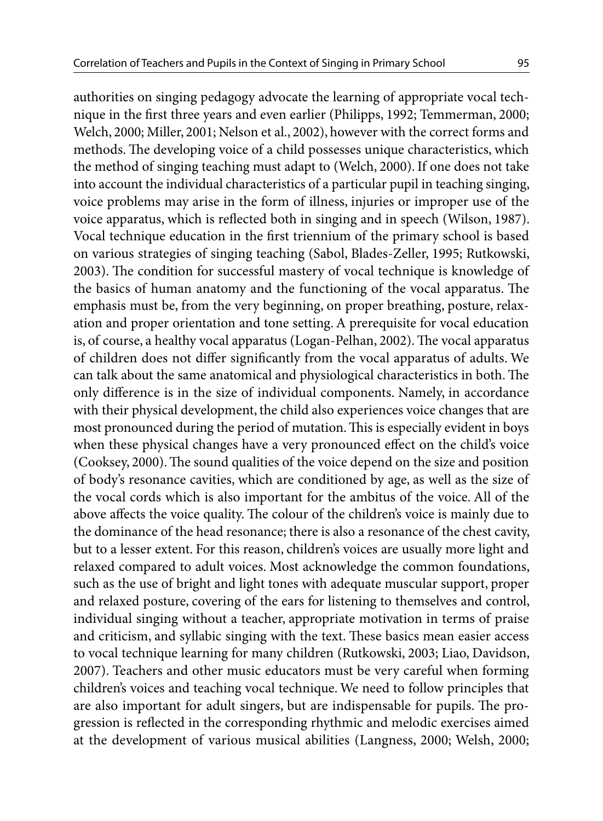authorities on singing pedagogy advocate the learning of appropriate vocal technique in the first three years and even earlier (Philipps, 1992; Temmerman, 2000; Welch, 2000; Miller, 2001; Nelson et al., 2002), however with the correct forms and methods. The developing voice of a child possesses unique characteristics, which the method of singing teaching must adapt to (Welch, 2000). If one does not take into account the individual characteristics of a particular pupil in teaching singing, voice problems may arise in the form of illness, injuries or improper use of the voice apparatus, which is reflected both in singing and in speech (Wilson, 1987). Vocal technique education in the first triennium of the primary school is based on various strategies of singing teaching (Sabol, Blades-Zeller, 1995; Rutkowski, 2003). The condition for successful mastery of vocal technique is knowledge of the basics of human anatomy and the functioning of the vocal apparatus. The emphasis must be, from the very beginning, on proper breathing, posture, relaxation and proper orientation and tone setting. A prerequisite for vocal education is, of course, a healthy vocal apparatus (Logan-Pelhan, 2002). The vocal apparatus of children does not differ significantly from the vocal apparatus of adults. We can talk about the same anatomical and physiological characteristics in both. The only difference is in the size of individual components. Namely, in accordance with their physical development, the child also experiences voice changes that are most pronounced during the period of mutation. This is especially evident in boys when these physical changes have a very pronounced effect on the child's voice (Cooksey, 2000). The sound qualities of the voice depend on the size and position of body's resonance cavities, which are conditioned by age, as well as the size of the vocal cords which is also important for the ambitus of the voice. All of the above affects the voice quality. The colour of the children's voice is mainly due to the dominance of the head resonance; there is also a resonance of the chest cavity, but to a lesser extent. For this reason, children's voices are usually more light and relaxed compared to adult voices. Most acknowledge the common foundations, such as the use of bright and light tones with adequate muscular support, proper and relaxed posture, covering of the ears for listening to themselves and control, individual singing without a teacher, appropriate motivation in terms of praise and criticism, and syllabic singing with the text. These basics mean easier access to vocal technique learning for many children (Rutkowski, 2003; Liao, Davidson, 2007). Teachers and other music educators must be very careful when forming children's voices and teaching vocal technique. We need to follow principles that are also important for adult singers, but are indispensable for pupils. The progression is reflected in the corresponding rhythmic and melodic exercises aimed at the development of various musical abilities (Langness, 2000; Welsh, 2000;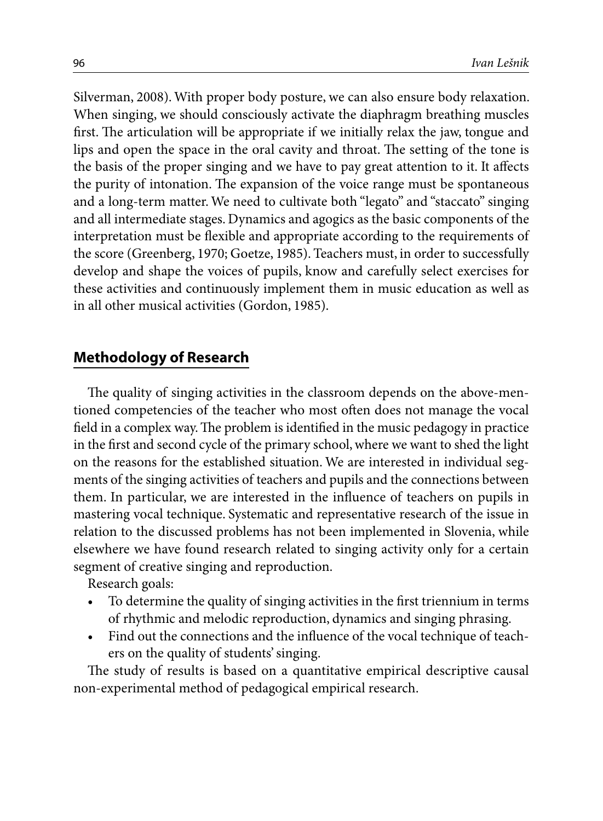Silverman, 2008). With proper body posture, we can also ensure body relaxation. When singing, we should consciously activate the diaphragm breathing muscles first. The articulation will be appropriate if we initially relax the jaw, tongue and lips and open the space in the oral cavity and throat. The setting of the tone is the basis of the proper singing and we have to pay great attention to it. It affects the purity of intonation. The expansion of the voice range must be spontaneous and a long-term matter. We need to cultivate both "legato" and "staccato" singing and all intermediate stages. Dynamics and agogics as the basic components of the interpretation must be flexible and appropriate according to the requirements of the score (Greenberg, 1970; Goetze, 1985). Teachers must, in order to successfully develop and shape the voices of pupils, know and carefully select exercises for these activities and continuously implement them in music education as well as in all other musical activities (Gordon, 1985).

## **Methodology of Research**

The quality of singing activities in the classroom depends on the above-mentioned competencies of the teacher who most often does not manage the vocal field in a complex way. The problem is identified in the music pedagogy in practice in the first and second cycle of the primary school, where we want to shed the light on the reasons for the established situation. We are interested in individual segments of the singing activities of teachers and pupils and the connections between them. In particular, we are interested in the influence of teachers on pupils in mastering vocal technique. Systematic and representative research of the issue in relation to the discussed problems has not been implemented in Slovenia, while elsewhere we have found research related to singing activity only for a certain segment of creative singing and reproduction.

Research goals:

- To determine the quality of singing activities in the first triennium in terms of rhythmic and melodic reproduction, dynamics and singing phrasing.
- Find out the connections and the influence of the vocal technique of teachers on the quality of students' singing.

The study of results is based on a quantitative empirical descriptive causal non-experimental method of pedagogical empirical research.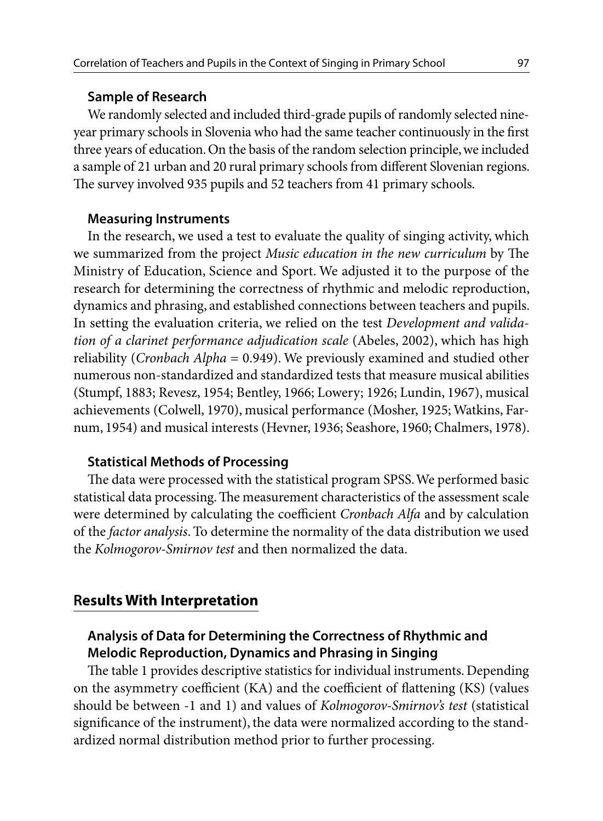#### **Sample of Research**

We randomly selected and included third-grade pupils of randomly selected nineyear primary schools in Slovenia who had the same teacher continuously in the first three years of education. On the basis of the random selection principle, we included a sample of 21 urban and 20 rural primary schools from different Slovenian regions. The survey involved 935 pupils and 52 teachers from 41 primary schools.

#### **Measuring Instruments**

In the research, we used a test to evaluate the quality of singing activity, which we summarized from the project *Music education in the new curriculum* by The Ministry of Education, Science and Sport. We adjusted it to the purpose of the research for determining the correctness of rhythmic and melodic reproduction, dynamics and phrasing, and established connections between teachers and pupils. In setting the evaluation criteria, we relied on the test *Development and validation of a clarinet performance adjudication scale* (Abeles, 2002), which has high reliability (*Cronbach Alpha* = 0.949). We previously examined and studied other numerous non-standardized and standardized tests that measure musical abilities (Stumpf, 1883; Revesz, 1954; Bentley, 1966; Lowery; 1926; Lundin, 1967), musical achievements (Colwell, 1970), musical performance (Mosher, 1925; Watkins, Farnum, 1954) and musical interests (Hevner, 1936; Seashore, 1960; Chalmers, 1978).

### **Statistical Methods of Processing**

The data were processed with the statistical program SPSS. We performed basic statistical data processing. The measurement characteristics of the assessment scale were determined by calculating the coefficient *Cronbach Alfa* and by calculation of the *factor analysis*. To determine the normality of the data distribution we used the *Kolmogorov-Smirnov test* and then normalized the data.

## **Results With Interpretation**

## **Analysis of Data for Determining the Correctness of Rhythmic and Melodic Reproduction, Dynamics and Phrasing in Singing**

The table 1 provides descriptive statistics for individual instruments. Depending on the asymmetry coefficient (KA) and the coefficient of flattening (KS) (values should be between -1 and 1) and values of *Kolmogorov-Smirnov's test* (statistical significance of the instrument), the data were normalized according to the standardized normal distribution method prior to further processing.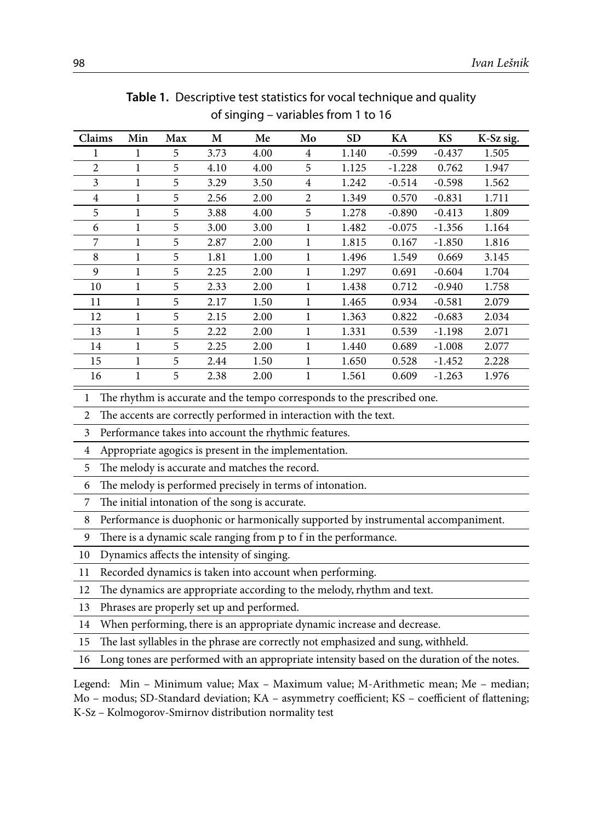| Claims         | Min | Max | М    | Me   | Mo           | <b>SD</b> | KA       | KS       | K-Sz sig. |
|----------------|-----|-----|------|------|--------------|-----------|----------|----------|-----------|
|                | 1   | 5   | 3.73 | 4.00 | 4            | 1.140     | $-0.599$ | $-0.437$ | 1.505     |
| 2              | 1   | 5   | 4.10 | 4.00 | 5            | 1.125     | $-1.228$ | 0.762    | 1.947     |
| 3              | 1   | 5   | 3.29 | 3.50 | 4            | 1.242     | $-0.514$ | $-0.598$ | 1.562     |
| $\overline{4}$ | 1   | 5   | 2.56 | 2.00 | 2            | 1.349     | 0.570    | $-0.831$ | 1.711     |
| 5              | 1   | 5   | 3.88 | 4.00 | 5            | 1.278     | $-0.890$ | $-0.413$ | 1.809     |
| 6              | 1   | 5   | 3.00 | 3.00 | 1            | 1.482     | $-0.075$ | $-1.356$ | 1.164     |
| 7              | 1   | 5   | 2.87 | 2.00 | 1            | 1.815     | 0.167    | $-1.850$ | 1.816     |
| 8              | 1   | 5   | 1.81 | 1.00 | 1            | 1.496     | 1.549    | 0.669    | 3.145     |
| 9              | 1   | 5   | 2.25 | 2.00 | 1            | 1.297     | 0.691    | $-0.604$ | 1.704     |
| 10             | 1   | 5   | 2.33 | 2.00 | 1            | 1.438     | 0.712    | $-0.940$ | 1.758     |
| 11             | 1   | 5   | 2.17 | 1.50 | $\mathbf{1}$ | 1.465     | 0.934    | $-0.581$ | 2.079     |
| 12             | 1   | 5   | 2.15 | 2.00 | 1            | 1.363     | 0.822    | $-0.683$ | 2.034     |
| 13             | 1   | 5   | 2.22 | 2.00 | 1            | 1.331     | 0.539    | $-1.198$ | 2.071     |
| 14             | 1   | 5   | 2.25 | 2.00 | 1            | 1.440     | 0.689    | $-1.008$ | 2.077     |
| 15             | 1   | 5   | 2.44 | 1.50 | 1            | 1.650     | 0.528    | $-1.452$ | 2.228     |
| 16             | 1   | 5   | 2.38 | 2.00 | $\mathbf{1}$ | 1.561     | 0.609    | $-1.263$ | 1.976     |

**Table 1.** Descriptive test statistics for vocal technique and quality of singing – variables from 1 to 16

The rhythm is accurate and the tempo corresponds to the prescribed one.

The accents are correctly performed in interaction with the text.

Performance takes into account the rhythmic features.

Appropriate agogics is present in the implementation.

The melody is accurate and matches the record.

The melody is performed precisely in terms of intonation.

The initial intonation of the song is accurate.

Performance is duophonic or harmonically supported by instrumental accompaniment.

There is a dynamic scale ranging from p to f in the performance.

Dynamics affects the intensity of singing.

Recorded dynamics is taken into account when performing.

The dynamics are appropriate according to the melody, rhythm and text.

Phrases are properly set up and performed.

When performing, there is an appropriate dynamic increase and decrease.

The last syllables in the phrase are correctly not emphasized and sung, withheld.

Long tones are performed with an appropriate intensity based on the duration of the notes.

Legend: Min – Minimum value; Max – Maximum value; M-Arithmetic mean; Me – median; Mo – modus; SD-Standard deviation; KA – asymmetry coefficient; KS – coefficient of flattening; K-Sz – Kolmogorov-Smirnov distribution normality test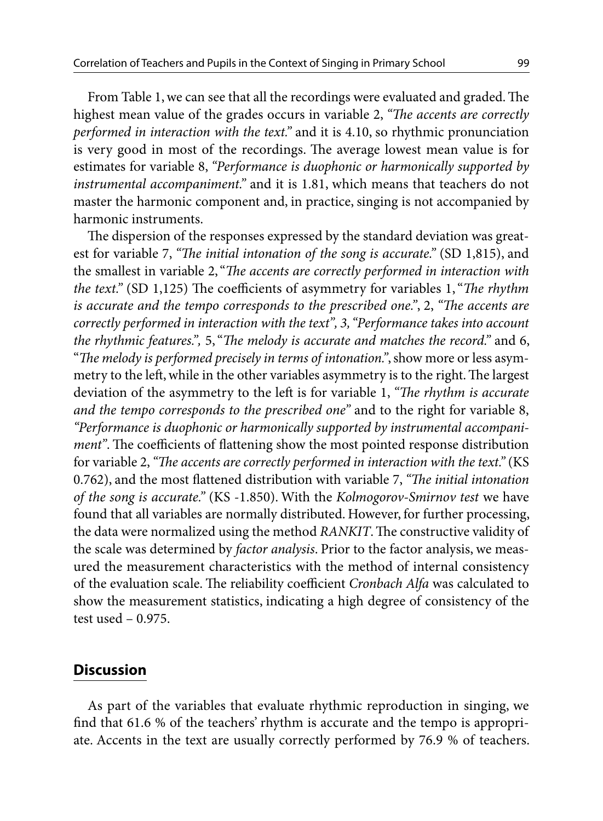From Table 1, we can see that all the recordings were evaluated and graded. The highest mean value of the grades occurs in variable 2, *"The accents are correctly performed in interaction with the text."* and it is 4.10, so rhythmic pronunciation is very good in most of the recordings. The average lowest mean value is for estimates for variable 8, *"Performance is duophonic or harmonically supported by instrumental accompaniment."* and it is 1.81, which means that teachers do not master the harmonic component and, in practice, singing is not accompanied by harmonic instruments.

The dispersion of the responses expressed by the standard deviation was greatest for variable 7, *"The initial intonation of the song is accurate."* (SD 1,815), and the smallest in variable 2, "*The accents are correctly performed in interaction with the text."* (SD 1,125) The coefficients of asymmetry for variables 1, "*The rhythm is accurate and the tempo corresponds to the prescribed one."*, 2, *"The accents are correctly performed in interaction with the text", 3, "Performance takes into account the rhythmic features.",* 5, "*The melody is accurate and matches the record."* and 6, "*The melody is performed precisely in terms of intonation."*, show more or less asymmetry to the left, while in the other variables asymmetry is to the right. The largest deviation of the asymmetry to the left is for variable 1, *"The rhythm is accurate and the tempo corresponds to the prescribed one"* and to the right for variable 8, *"Performance is duophonic or harmonically supported by instrumental accompaniment"*. The coefficients of flattening show the most pointed response distribution for variable 2, *"The accents are correctly performed in interaction with the text."* (KS 0.762), and the most flattened distribution with variable 7, *"The initial intonation of the song is accurate."* (KS -1.850). With the *Kolmogorov-Smirnov test* we have found that all variables are normally distributed. However, for further processing, the data were normalized using the method *RANKIT*. The constructive validity of the scale was determined by *factor analysis*. Prior to the factor analysis, we measured the measurement characteristics with the method of internal consistency of the evaluation scale. The reliability coefficient *Cronbach Alfa* was calculated to show the measurement statistics, indicating a high degree of consistency of the test used – 0.975.

### **Discussion**

As part of the variables that evaluate rhythmic reproduction in singing, we find that 61.6 % of the teachers' rhythm is accurate and the tempo is appropriate. Accents in the text are usually correctly performed by 76.9 % of teachers.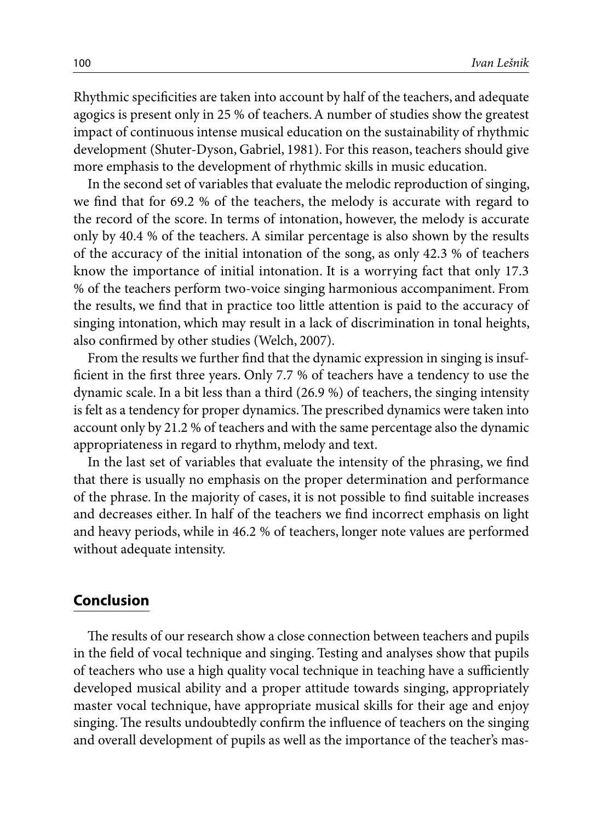Rhythmic specificities are taken into account by half of the teachers, and adequate agogics is present only in 25 % of teachers. A number of studies show the greatest impact of continuous intense musical education on the sustainability of rhythmic development (Shuter-Dyson, Gabriel, 1981). For this reason, teachers should give more emphasis to the development of rhythmic skills in music education.

In the second set of variables that evaluate the melodic reproduction of singing, we find that for 69.2 % of the teachers, the melody is accurate with regard to the record of the score. In terms of intonation, however, the melody is accurate only by 40.4 % of the teachers. A similar percentage is also shown by the results of the accuracy of the initial intonation of the song, as only 42.3 % of teachers know the importance of initial intonation. It is a worrying fact that only 17.3 % of the teachers perform two-voice singing harmonious accompaniment. From the results, we find that in practice too little attention is paid to the accuracy of singing intonation, which may result in a lack of discrimination in tonal heights, also confirmed by other studies (Welch, 2007).

From the results we further find that the dynamic expression in singing is insufficient in the first three years. Only 7.7 % of teachers have a tendency to use the dynamic scale. In a bit less than a third (26.9 %) of teachers, the singing intensity is felt as a tendency for proper dynamics. The prescribed dynamics were taken into account only by 21.2 % of teachers and with the same percentage also the dynamic appropriateness in regard to rhythm, melody and text.

In the last set of variables that evaluate the intensity of the phrasing, we find that there is usually no emphasis on the proper determination and performance of the phrase. In the majority of cases, it is not possible to find suitable increases and decreases either. In half of the teachers we find incorrect emphasis on light and heavy periods, while in 46.2 % of teachers, longer note values are performed without adequate intensity.

## **Conclusion**

The results of our research show a close connection between teachers and pupils in the field of vocal technique and singing. Testing and analyses show that pupils of teachers who use a high quality vocal technique in teaching have a sufficiently developed musical ability and a proper attitude towards singing, appropriately master vocal technique, have appropriate musical skills for their age and enjoy singing. The results undoubtedly confirm the influence of teachers on the singing and overall development of pupils as well as the importance of the teacher's mas-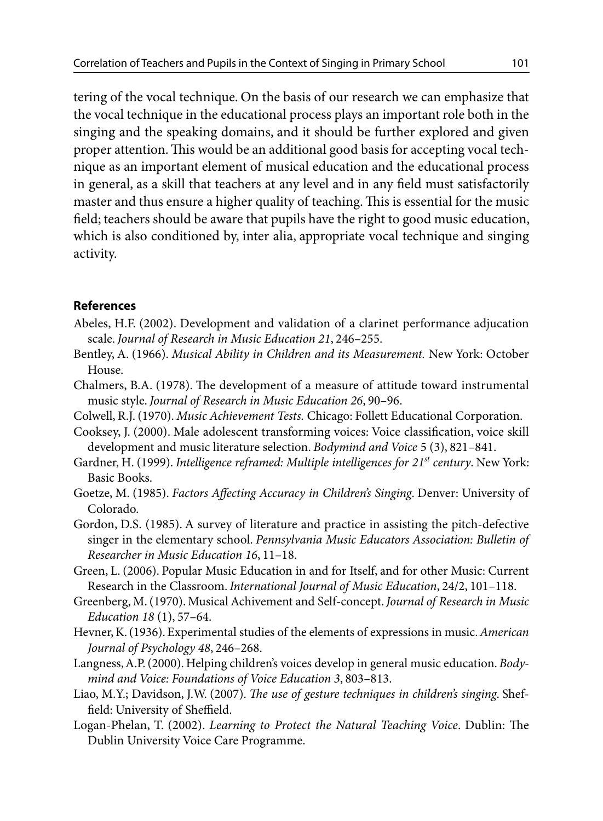tering of the vocal technique. On the basis of our research we can emphasize that the vocal technique in the educational process plays an important role both in the singing and the speaking domains, and it should be further explored and given proper attention. This would be an additional good basis for accepting vocal technique as an important element of musical education and the educational process in general, as a skill that teachers at any level and in any field must satisfactorily master and thus ensure a higher quality of teaching. This is essential for the music field; teachers should be aware that pupils have the right to good music education, which is also conditioned by, inter alia, appropriate vocal technique and singing activity.

#### **References**

- Abeles, H.F. (2002). Development and validation of a clarinet performance adjucation scale. *Journal of Research in Music Education 21*, 246–255.
- Bentley, A. (1966). *Musical Ability in Children and its Measurement.* New York: October House.
- Chalmers, B.A. (1978). The development of a measure of attitude toward instrumental music style. *Journal of Research in Music Education 26*, 90–96.
- Colwell, R.J. (1970). *Music Achievement Tests.* Chicago: Follett Educational Corporation.
- Cooksey, J. (2000). Male adolescent transforming voices: Voice classification, voice skill development and music literature selection. *Bodymind and Voice* 5 (3), 821–841.
- Gardner, H. (1999). *Intelligence reframed: Multiple intelligences for 21st century*. New York: Basic Books.
- Goetze, M. (1985). *Factors Affecting Accuracy in Children's Singing*. Denver: University of Colorado.
- Gordon, D.S. (1985). A survey of literature and practice in assisting the pitch-defective singer in the elementary school. *Pennsylvania Music Educators Association: Bulletin of Researcher in Music Education 16*, 11–18.
- Green, L. (2006). Popular Music Education in and for Itself, and for other Music: Current Research in the Classroom. *International Journal of Music Education*, 24/2, 101–118.
- Greenberg, M. (1970). Musical Achivement and Self-concept. *Journal of Research in Music Education 18* (1), 57–64.
- Hevner, K. (1936). Experimental studies of the elements of expressions in music. *American Journal of Psychology 48*, 246–268.
- Langness, A.P. (2000). Helping children's voices develop in general music education. *Bodymind and Voice: Foundations of Voice Education 3*, 803–813.
- Liao, M.Y.; Davidson, J.W. (2007). *The use of gesture techniques in children's singing*. Sheffield: University of Sheffield.
- Logan-Phelan, T. (2002). *Learning to Protect the Natural Teaching Voice*. Dublin: The Dublin University Voice Care Programme.